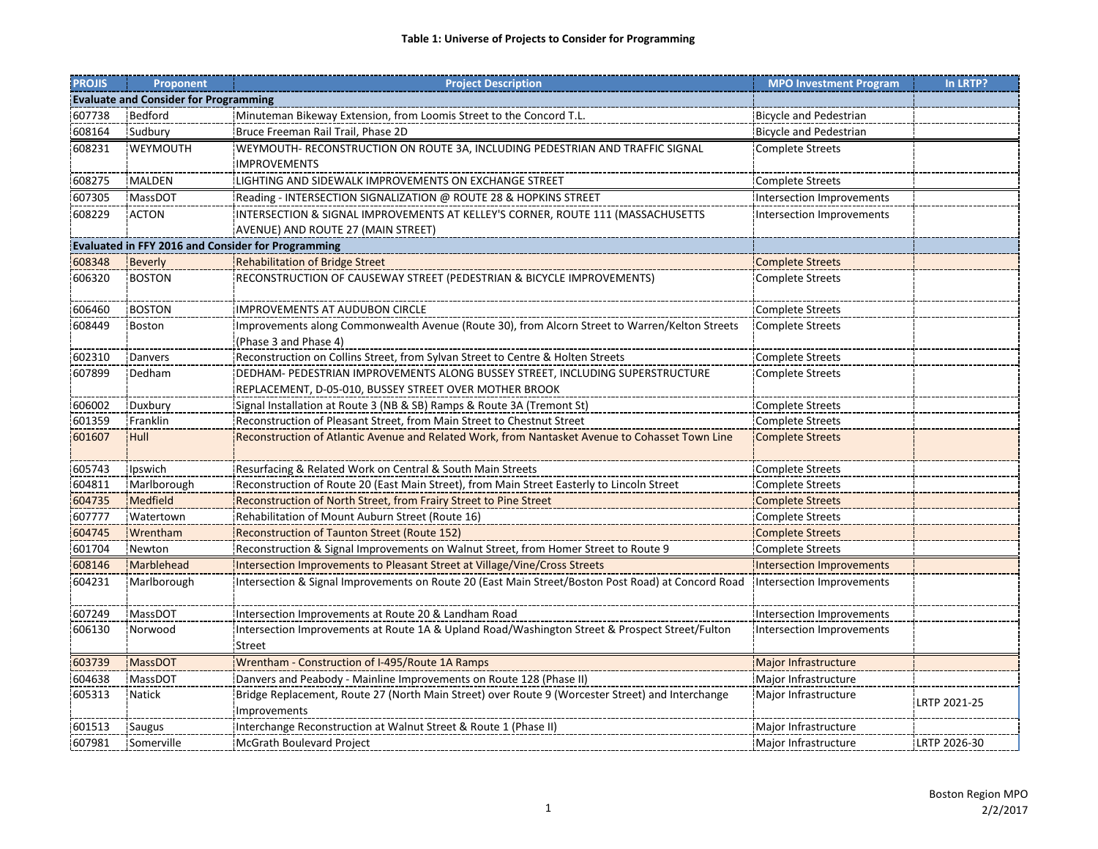| <b>PROJIS</b> | Proponent                                                 | <b>Project Description</b>                                                                         | <b>MPO Investment Program</b> | In LRTP?     |  |  |  |
|---------------|-----------------------------------------------------------|----------------------------------------------------------------------------------------------------|-------------------------------|--------------|--|--|--|
|               | <b>Evaluate and Consider for Programming</b>              |                                                                                                    |                               |              |  |  |  |
| 607738        | <b>Bedford</b>                                            | Minuteman Bikeway Extension, from Loomis Street to the Concord T.L.                                | <b>Bicycle and Pedestrian</b> |              |  |  |  |
| 608164        | Sudbury                                                   | Bruce Freeman Rail Trail, Phase 2D                                                                 | <b>Bicycle and Pedestrian</b> |              |  |  |  |
| 608231        | WEYMOUTH                                                  | WEYMOUTH- RECONSTRUCTION ON ROUTE 3A, INCLUDING PEDESTRIAN AND TRAFFIC SIGNAL                      | <b>Complete Streets</b>       |              |  |  |  |
|               |                                                           | <b>IMPROVEMENTS</b>                                                                                |                               |              |  |  |  |
| 608275        | MALDEN                                                    | LIGHTING AND SIDEWALK IMPROVEMENTS ON EXCHANGE STREET                                              | <b>Complete Streets</b>       |              |  |  |  |
| 607305        | <b>MassDOT</b>                                            | Reading - INTERSECTION SIGNALIZATION @ ROUTE 28 & HOPKINS STREET                                   | Intersection Improvements     |              |  |  |  |
| 608229        | <b>ACTON</b>                                              | INTERSECTION & SIGNAL IMPROVEMENTS AT KELLEY'S CORNER, ROUTE 111 (MASSACHUSETTS                    | Intersection Improvements     |              |  |  |  |
|               |                                                           | AVENUE) AND ROUTE 27 (MAIN STREET)                                                                 |                               |              |  |  |  |
|               | <b>Evaluated in FFY 2016 and Consider for Programming</b> |                                                                                                    |                               |              |  |  |  |
| 608348        | <b>Beverly</b>                                            | Rehabilitation of Bridge Street                                                                    | <b>Complete Streets</b>       |              |  |  |  |
| 606320        | <b>BOSTON</b>                                             | RECONSTRUCTION OF CAUSEWAY STREET (PEDESTRIAN & BICYCLE IMPROVEMENTS)                              | <b>Complete Streets</b>       |              |  |  |  |
|               |                                                           |                                                                                                    |                               |              |  |  |  |
| 606460        | <b>BOSTON</b>                                             | <b>IMPROVEMENTS AT AUDUBON CIRCLE</b>                                                              | <b>Complete Streets</b>       |              |  |  |  |
| 608449        | <b>Boston</b>                                             | Improvements along Commonwealth Avenue (Route 30), from Alcorn Street to Warren/Kelton Streets     | <b>Complete Streets</b>       |              |  |  |  |
|               |                                                           | (Phase 3 and Phase 4)                                                                              |                               |              |  |  |  |
| 602310        | <b>Danvers</b>                                            | Reconstruction on Collins Street, from Sylvan Street to Centre & Holten Streets                    | <b>Complete Streets</b>       |              |  |  |  |
| 607899        | Dedham                                                    | DEDHAM- PEDESTRIAN IMPROVEMENTS ALONG BUSSEY STREET, INCLUDING SUPERSTRUCTURE                      | <b>Complete Streets</b>       |              |  |  |  |
|               |                                                           | REPLACEMENT, D-05-010, BUSSEY STREET OVER MOTHER BROOK                                             |                               |              |  |  |  |
| 606002        | Duxbury                                                   | Signal Installation at Route 3 (NB & SB) Ramps & Route 3A (Tremont St)                             | <b>Complete Streets</b>       |              |  |  |  |
| 601359        | Franklin                                                  | Reconstruction of Pleasant Street, from Main Street to Chestnut Street                             | <b>Complete Streets</b>       |              |  |  |  |
| 601607        | Hull                                                      | Reconstruction of Atlantic Avenue and Related Work, from Nantasket Avenue to Cohasset Town Line    | <b>Complete Streets</b>       |              |  |  |  |
| 605743        | Ipswich                                                   | Resurfacing & Related Work on Central & South Main Streets                                         | <b>Complete Streets</b>       |              |  |  |  |
| 604811        | Marlborough                                               | Reconstruction of Route 20 (East Main Street), from Main Street Easterly to Lincoln Street         | <b>Complete Streets</b>       |              |  |  |  |
| 604735        | Medfield                                                  | Reconstruction of North Street, from Frairy Street to Pine Street                                  | <b>Complete Streets</b>       |              |  |  |  |
| 607777        | Watertown                                                 | Rehabilitation of Mount Auburn Street (Route 16)                                                   | <b>Complete Streets</b>       |              |  |  |  |
| 604745        | Wrentham                                                  | Reconstruction of Taunton Street (Route 152)                                                       | <b>Complete Streets</b>       |              |  |  |  |
| 601704        | Newton                                                    | Reconstruction & Signal Improvements on Walnut Street, from Homer Street to Route 9                | <b>Complete Streets</b>       |              |  |  |  |
| 608146        | Marblehead                                                | Intersection Improvements to Pleasant Street at Village/Vine/Cross Streets                         | Intersection Improvements     |              |  |  |  |
| 604231        | Marlborough                                               | Intersection & Signal Improvements on Route 20 (East Main Street/Boston Post Road) at Concord Road | Intersection Improvements     |              |  |  |  |
| 607249        | MassDOT                                                   | Intersection Improvements at Route 20 & Landham Road                                               | Intersection Improvements     |              |  |  |  |
| 606130        | Norwood                                                   | Intersection Improvements at Route 1A & Upland Road/Washington Street & Prospect Street/Fulton     | Intersection Improvements     |              |  |  |  |
|               |                                                           | Street                                                                                             |                               |              |  |  |  |
| 603739        | <b>MassDOT</b>                                            | Wrentham - Construction of I-495/Route 1A Ramps                                                    | Major Infrastructure          |              |  |  |  |
| 604638        | MassDOT                                                   | Danvers and Peabody - Mainline Improvements on Route 128 (Phase II)                                | Major Infrastructure          |              |  |  |  |
| 605313        | <b>Natick</b>                                             | Bridge Replacement, Route 27 (North Main Street) over Route 9 (Worcester Street) and Interchange   | Major Infrastructure          | LRTP 2021-25 |  |  |  |
|               |                                                           | Improvements                                                                                       |                               |              |  |  |  |
| 601513        | Saugus                                                    | Interchange Reconstruction at Walnut Street & Route 1 (Phase II)                                   | Major Infrastructure          |              |  |  |  |
| 607981        | Somerville                                                | McGrath Boulevard Project                                                                          | Major Infrastructure          | LRTP 2026-30 |  |  |  |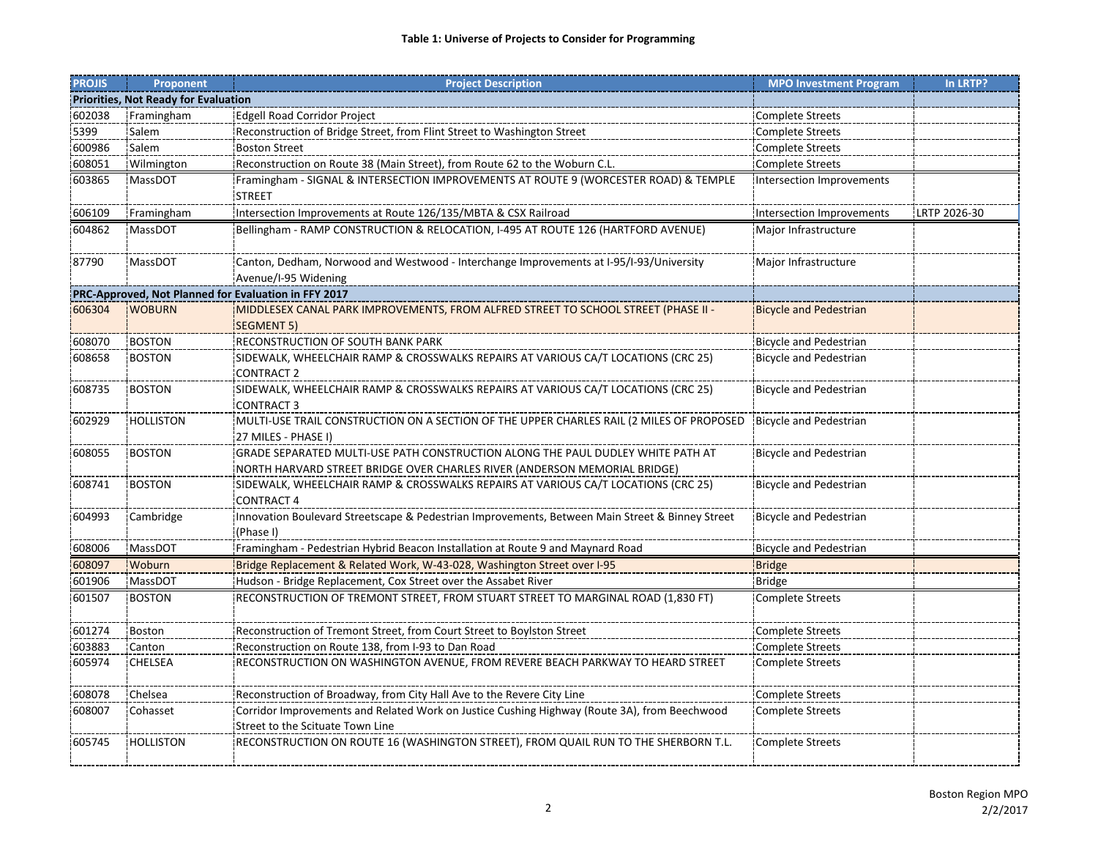| <b>PROJIS</b>                        | <b>Proponent</b> | <b>Project Description</b>                                                                                                                                   | <b>MPO Investment Program</b>    | In LRTP?     |  |
|--------------------------------------|------------------|--------------------------------------------------------------------------------------------------------------------------------------------------------------|----------------------------------|--------------|--|
| Priorities, Not Ready for Evaluation |                  |                                                                                                                                                              |                                  |              |  |
| 602038                               | Framingham       | <b>Edgell Road Corridor Project</b>                                                                                                                          | <b>Complete Streets</b>          |              |  |
| 5399                                 | Salem            | Reconstruction of Bridge Street, from Flint Street to Washington Street                                                                                      | <b>Complete Streets</b>          |              |  |
| 600986                               | Salem            | <b>Boston Street</b>                                                                                                                                         | <b>Complete Streets</b>          |              |  |
| 608051                               | Wilmington       | Reconstruction on Route 38 (Main Street), from Route 62 to the Woburn C.L.                                                                                   | <b>Complete Streets</b>          |              |  |
| 603865                               | MassDOT          | Framingham - SIGNAL & INTERSECTION IMPROVEMENTS AT ROUTE 9 (WORCESTER ROAD) & TEMPLE<br><b>STREET</b>                                                        | <b>Intersection Improvements</b> |              |  |
| 606109                               | Framingham       | Intersection Improvements at Route 126/135/MBTA & CSX Railroad                                                                                               | Intersection Improvements        | LRTP 2026-30 |  |
| 604862                               | MassDOT          | Bellingham - RAMP CONSTRUCTION & RELOCATION, I-495 AT ROUTE 126 (HARTFORD AVENUE)                                                                            | Major Infrastructure             |              |  |
| 87790                                | MassDOT          | Canton, Dedham, Norwood and Westwood - Interchange Improvements at I-95/I-93/University<br>Avenue/I-95 Widening                                              | Major Infrastructure             |              |  |
|                                      |                  | PRC-Approved, Not Planned for Evaluation in FFY 2017                                                                                                         |                                  |              |  |
| 606304                               | <b>WOBURN</b>    | MIDDLESEX CANAL PARK IMPROVEMENTS, FROM ALFRED STREET TO SCHOOL STREET (PHASE II -<br><b>SEGMENT 5)</b>                                                      | <b>Bicycle and Pedestrian</b>    |              |  |
| 608070                               | <b>BOSTON</b>    | RECONSTRUCTION OF SOUTH BANK PARK                                                                                                                            | <b>Bicycle and Pedestrian</b>    |              |  |
| 608658                               | <b>BOSTON</b>    | SIDEWALK, WHEELCHAIR RAMP & CROSSWALKS REPAIRS AT VARIOUS CA/T LOCATIONS (CRC 25)<br><b>CONTRACT 2</b>                                                       | <b>Bicycle and Pedestrian</b>    |              |  |
| 608735                               | <b>BOSTON</b>    | SIDEWALK, WHEELCHAIR RAMP & CROSSWALKS REPAIRS AT VARIOUS CA/T LOCATIONS (CRC 25)<br><b>CONTRACT 3</b>                                                       | <b>Bicycle and Pedestrian</b>    |              |  |
| 602929                               | <b>HOLLISTON</b> | MULTI-USE TRAIL CONSTRUCTION ON A SECTION OF THE UPPER CHARLES RAIL (2 MILES OF PROPOSED<br>27 MILES - PHASE I)                                              | <b>Bicycle and Pedestrian</b>    |              |  |
| 608055                               | <b>BOSTON</b>    | GRADE SEPARATED MULTI-USE PATH CONSTRUCTION ALONG THE PAUL DUDLEY WHITE PATH AT<br>NORTH HARVARD STREET BRIDGE OVER CHARLES RIVER (ANDERSON MEMORIAL BRIDGE) | <b>Bicycle and Pedestrian</b>    |              |  |
| 608741                               | <b>BOSTON</b>    | SIDEWALK, WHEELCHAIR RAMP & CROSSWALKS REPAIRS AT VARIOUS CA/T LOCATIONS (CRC 25)<br><b>CONTRACT 4</b>                                                       | <b>Bicycle and Pedestrian</b>    |              |  |
| 604993                               | Cambridge        | Innovation Boulevard Streetscape & Pedestrian Improvements, Between Main Street & Binney Street<br>(Phase I)                                                 | <b>Bicycle and Pedestrian</b>    |              |  |
| 608006                               | MassDOT          | Framingham - Pedestrian Hybrid Beacon Installation at Route 9 and Maynard Road                                                                               | <b>Bicycle and Pedestrian</b>    |              |  |
| 608097                               | Woburn           | Bridge Replacement & Related Work, W-43-028, Washington Street over I-95                                                                                     | <b>Bridge</b>                    |              |  |
| 601906                               | <b>MassDOT</b>   | Hudson - Bridge Replacement, Cox Street over the Assabet River                                                                                               | <b>Bridge</b>                    |              |  |
| 601507                               | <b>BOSTON</b>    | RECONSTRUCTION OF TREMONT STREET, FROM STUART STREET TO MARGINAL ROAD (1,830 FT)                                                                             | <b>Complete Streets</b>          |              |  |
| 601274                               | Boston           | Reconstruction of Tremont Street, from Court Street to Boylston Street                                                                                       | <b>Complete Streets</b>          |              |  |
| 603883                               | Canton           | Reconstruction on Route 138, from I-93 to Dan Road                                                                                                           | <b>Complete Streets</b>          |              |  |
| 605974                               | <b>CHELSEA</b>   | RECONSTRUCTION ON WASHINGTON AVENUE, FROM REVERE BEACH PARKWAY TO HEARD STREET                                                                               | <b>Complete Streets</b>          |              |  |
| 608078                               | Chelsea          | Reconstruction of Broadway, from City Hall Ave to the Revere City Line                                                                                       | <b>Complete Streets</b>          |              |  |
| 608007                               | Cohasset         | Corridor Improvements and Related Work on Justice Cushing Highway (Route 3A), from Beechwood<br>Street to the Scituate Town Line                             | <b>Complete Streets</b>          |              |  |
| 605745                               | <b>HOLLISTON</b> | RECONSTRUCTION ON ROUTE 16 (WASHINGTON STREET), FROM QUAIL RUN TO THE SHERBORN T.L.                                                                          | <b>Complete Streets</b>          |              |  |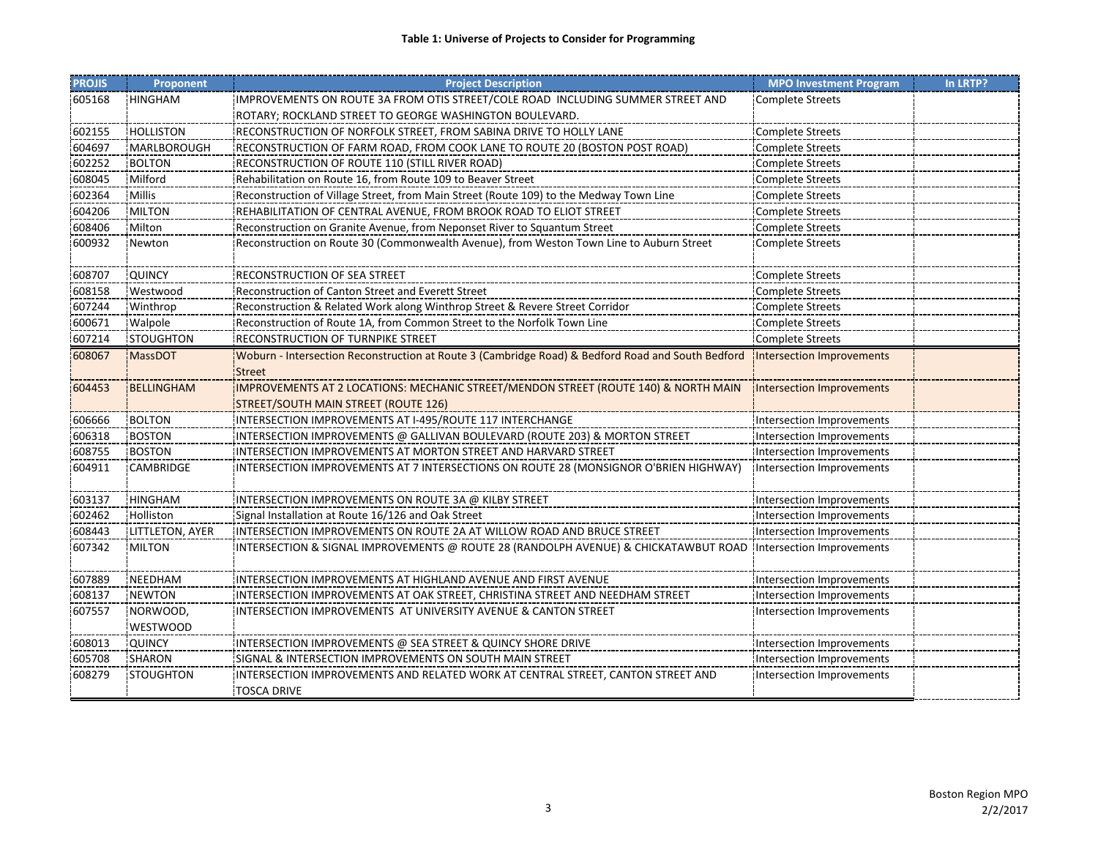| <b>PROJIS</b> | Proponent         | <b>Project Description</b>                                                                                                  | <b>MPO Investment Program</b> | In LRTP? |
|---------------|-------------------|-----------------------------------------------------------------------------------------------------------------------------|-------------------------------|----------|
| 605168        | <b>HINGHAM</b>    | IMPROVEMENTS ON ROUTE 3A FROM OTIS STREET/COLE ROAD INCLUDING SUMMER STREET AND                                             | <b>Complete Streets</b>       |          |
|               |                   | ROTARY; ROCKLAND STREET TO GEORGE WASHINGTON BOULEVARD.                                                                     |                               |          |
| 602155        | <b>HOLLISTON</b>  | RECONSTRUCTION OF NORFOLK STREET, FROM SABINA DRIVE TO HOLLY LANE                                                           | <b>Complete Streets</b>       |          |
| 604697        | MARLBOROUGH       | RECONSTRUCTION OF FARM ROAD, FROM COOK LANE TO ROUTE 20 (BOSTON POST ROAD)                                                  | <b>Complete Streets</b>       |          |
| 602252        | <b>BOLTON</b>     | RECONSTRUCTION OF ROUTE 110 (STILL RIVER ROAD)                                                                              | Complete Streets              |          |
| 608045        | Milford           | Rehabilitation on Route 16, from Route 109 to Beaver Street                                                                 | <b>Complete Streets</b>       |          |
| 602364        | <b>Millis</b>     | Reconstruction of Village Street, from Main Street (Route 109) to the Medway Town Line                                      | <b>Complete Streets</b>       |          |
| 604206        | <b>MILTON</b>     | REHABILITATION OF CENTRAL AVENUE, FROM BROOK ROAD TO ELIOT STREET                                                           | <b>Complete Streets</b>       |          |
| 608406        | Milton            | Reconstruction on Granite Avenue, from Neponset River to Squantum Street                                                    | <b>Complete Streets</b>       |          |
| 600932        | Newton            | Reconstruction on Route 30 (Commonwealth Avenue), from Weston Town Line to Auburn Street                                    | <b>Complete Streets</b>       |          |
| 608707        | QUINCY            | RECONSTRUCTION OF SEA STREET                                                                                                | Complete Streets              |          |
| 608158        | Westwood          | Reconstruction of Canton Street and Everett Street                                                                          | <b>Complete Streets</b>       |          |
| 607244        | Winthrop          | Reconstruction & Related Work along Winthrop Street & Revere Street Corridor                                                | <b>Complete Streets</b>       |          |
| 600671        | Walpole           | Reconstruction of Route 1A, from Common Street to the Norfolk Town Line                                                     | <b>Complete Streets</b>       |          |
| 607214        | <b>STOUGHTON</b>  | RECONSTRUCTION OF TURNPIKE STREET                                                                                           | <b>Complete Streets</b>       |          |
| 608067        | <b>MassDOT</b>    | Woburn - Intersection Reconstruction at Route 3 (Cambridge Road) & Bedford Road and South Bedford<br><b>Street</b>          | Intersection Improvements     |          |
| 604453        | <b>BELLINGHAM</b> | IMPROVEMENTS AT 2 LOCATIONS: MECHANIC STREET/MENDON STREET (ROUTE 140) & NORTH MAIN<br>STREET/SOUTH MAIN STREET (ROUTE 126) | Intersection Improvements     |          |
| 606666        | <b>BOLTON</b>     | INTERSECTION IMPROVEMENTS AT I-495/ROUTE 117 INTERCHANGE                                                                    | Intersection Improvements     |          |
| 606318        | <b>BOSTON</b>     | INTERSECTION IMPROVEMENTS @ GALLIVAN BOULEVARD (ROUTE 203) & MORTON STREET!                                                 | Intersection Improvements     |          |
| 608755        | <b>BOSTON</b>     | INTERSECTION IMPROVEMENTS AT MORTON STREET AND HARVARD STREET                                                               | Intersection Improvements     |          |
| 604911        | <b>CAMBRIDGE</b>  | INTERSECTION IMPROVEMENTS AT 7 INTERSECTIONS ON ROUTE 28 (MONSIGNOR O'BRIEN HIGHWAY)                                        | Intersection Improvements     |          |
| 603137        | <b>HINGHAM</b>    | INTERSECTION IMPROVEMENTS ON ROUTE 3A @ KILBY STREET                                                                        | Intersection Improvements     |          |
| 602462        | Holliston         | Signal Installation at Route 16/126 and Oak Street                                                                          | Intersection Improvements     |          |
| 608443        | LITTLETON, AYER   | INTERSECTION IMPROVEMENTS ON ROUTE 2A AT WILLOW ROAD AND BRUCE STREET                                                       | Intersection Improvements     |          |
| 607342        | <b>MILTON</b>     | INTERSECTION & SIGNAL IMPROVEMENTS @ ROUTE 28 (RANDOLPH AVENUE) & CHICKATAWBUT ROAD Intersection Improvements               |                               |          |
| 607889        | NEEDHAM           | INTERSECTION IMPROVEMENTS AT HIGHLAND AVENUE AND FIRST AVENUE                                                               | Intersection Improvements     |          |
| 608137        | <b>NEWTON</b>     | INTERSECTION IMPROVEMENTS AT OAK STREET, CHRISTINA STREET AND NEEDHAM STREET                                                | Intersection Improvements     |          |
| 607557        | NORWOOD,          | INTERSECTION IMPROVEMENTS AT UNIVERSITY AVENUE & CANTON STREET                                                              | Intersection Improvements     |          |
|               | WESTWOOD          |                                                                                                                             |                               |          |
| 608013        | QUINCY            | INTERSECTION IMPROVEMENTS @ SEA STREET & QUINCY SHORE DRIVE                                                                 | Intersection Improvements     |          |
| 605708        | <b>SHARON</b>     | SIGNAL & INTERSECTION IMPROVEMENTS ON SOUTH MAIN STREET                                                                     | Intersection Improvements     |          |
| 608279        | <b>STOUGHTON</b>  | INTERSECTION IMPROVEMENTS AND RELATED WORK AT CENTRAL STREET, CANTON STREET AND<br><b>TOSCA DRIVE</b>                       | Intersection Improvements     |          |